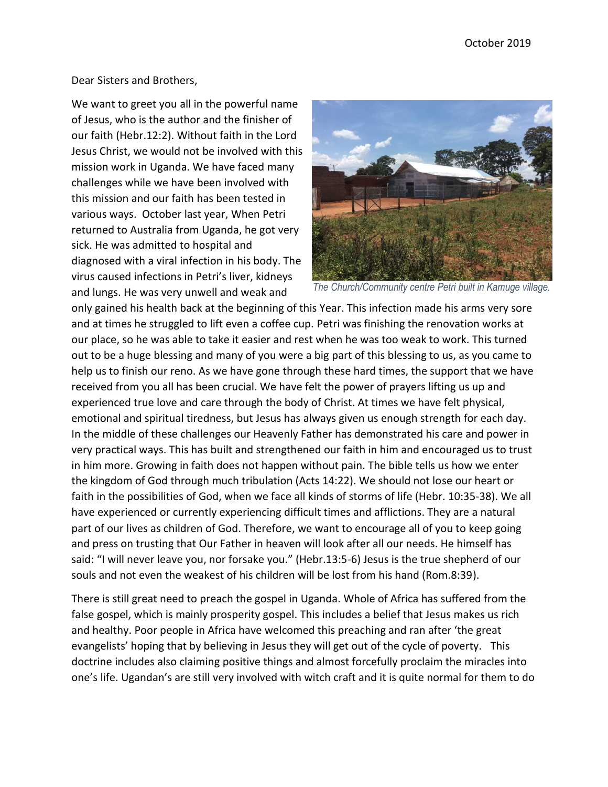## Dear Sisters and Brothers,

We want to greet you all in the powerful name of Jesus, who is the author and the finisher of our faith (Hebr.12:2). Without faith in the Lord Jesus Christ, we would not be involved with this mission work in Uganda. We have faced many challenges while we have been involved with this mission and our faith has been tested in various ways. October last year, When Petri returned to Australia from Uganda, he got very sick. He was admitted to hospital and diagnosed with a viral infection in his body. The virus caused infections in Petri's liver, kidneys and lungs. He was very unwell and weak and



*The Church/Community centre Petri built in Kamuge village.* 

only gained his health back at the beginning of this Year. This infection made his arms very sore and at times he struggled to lift even a coffee cup. Petri was finishing the renovation works at our place, so he was able to take it easier and rest when he was too weak to work. This turned out to be a huge blessing and many of you were a big part of this blessing to us, as you came to help us to finish our reno. As we have gone through these hard times, the support that we have received from you all has been crucial. We have felt the power of prayers lifting us up and experienced true love and care through the body of Christ. At times we have felt physical, emotional and spiritual tiredness, but Jesus has always given us enough strength for each day. In the middle of these challenges our Heavenly Father has demonstrated his care and power in very practical ways. This has built and strengthened our faith in him and encouraged us to trust in him more. Growing in faith does not happen without pain. The bible tells us how we enter the kingdom of God through much tribulation (Acts 14:22). We should not lose our heart or faith in the possibilities of God, when we face all kinds of storms of life (Hebr. 10:35-38). We all have experienced or currently experiencing difficult times and afflictions. They are a natural part of our lives as children of God. Therefore, we want to encourage all of you to keep going and press on trusting that Our Father in heaven will look after all our needs. He himself has said: "I will never leave you, nor forsake you." (Hebr.13:5-6) Jesus is the true shepherd of our souls and not even the weakest of his children will be lost from his hand (Rom.8:39).

There is still great need to preach the gospel in Uganda. Whole of Africa has suffered from the false gospel, which is mainly prosperity gospel. This includes a belief that Jesus makes us rich and healthy. Poor people in Africa have welcomed this preaching and ran after 'the great evangelists' hoping that by believing in Jesus they will get out of the cycle of poverty. This doctrine includes also claiming positive things and almost forcefully proclaim the miracles into one's life. Ugandan's are still very involved with witch craft and it is quite normal for them to do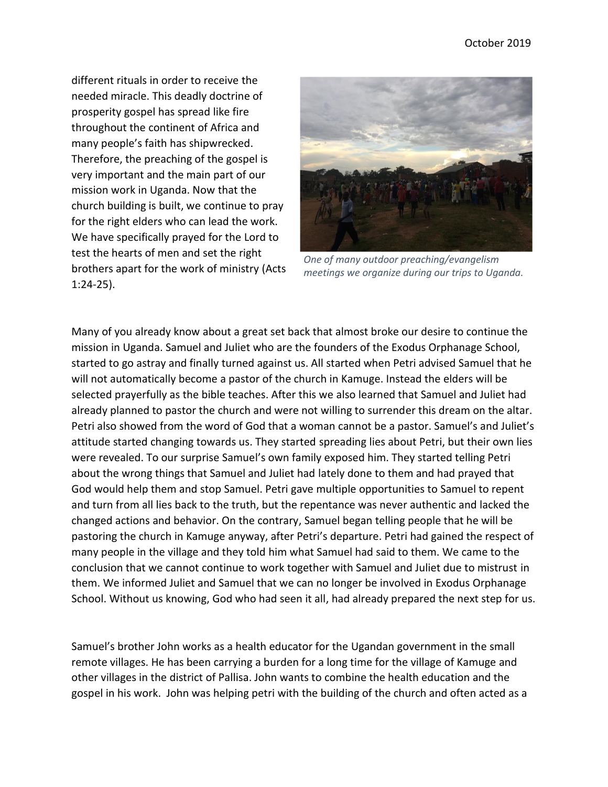different rituals in order to receive the needed miracle. This deadly doctrine of prosperity gospel has spread like fire throughout the continent of Africa and many people's faith has shipwrecked. Therefore, the preaching of the gospel is very important and the main part of our mission work in Uganda. Now that the church building is built, we continue to pray for the right elders who can lead the work. We have specifically prayed for the Lord to test the hearts of men and set the right brothers apart for the work of ministry (Acts 1:24-25).



*One of many outdoor preaching/evangelism meetings we organize during our trips to Uganda.*

Many of you already know about a great set back that almost broke our desire to continue the mission in Uganda. Samuel and Juliet who are the founders of the Exodus Orphanage School, started to go astray and finally turned against us. All started when Petri advised Samuel that he will not automatically become a pastor of the church in Kamuge. Instead the elders will be selected prayerfully as the bible teaches. After this we also learned that Samuel and Juliet had already planned to pastor the church and were not willing to surrender this dream on the altar. Petri also showed from the word of God that a woman cannot be a pastor. Samuel's and Juliet's attitude started changing towards us. They started spreading lies about Petri, but their own lies were revealed. To our surprise Samuel's own family exposed him. They started telling Petri about the wrong things that Samuel and Juliet had lately done to them and had prayed that God would help them and stop Samuel. Petri gave multiple opportunities to Samuel to repent and turn from all lies back to the truth, but the repentance was never authentic and lacked the changed actions and behavior. On the contrary, Samuel began telling people that he will be pastoring the church in Kamuge anyway, after Petri's departure. Petri had gained the respect of many people in the village and they told him what Samuel had said to them. We came to the conclusion that we cannot continue to work together with Samuel and Juliet due to mistrust in them. We informed Juliet and Samuel that we can no longer be involved in Exodus Orphanage School. Without us knowing, God who had seen it all, had already prepared the next step for us.

Samuel's brother John works as a health educator for the Ugandan government in the small remote villages. He has been carrying a burden for a long time for the village of Kamuge and other villages in the district of Pallisa. John wants to combine the health education and the gospel in his work. John was helping petri with the building of the church and often acted as a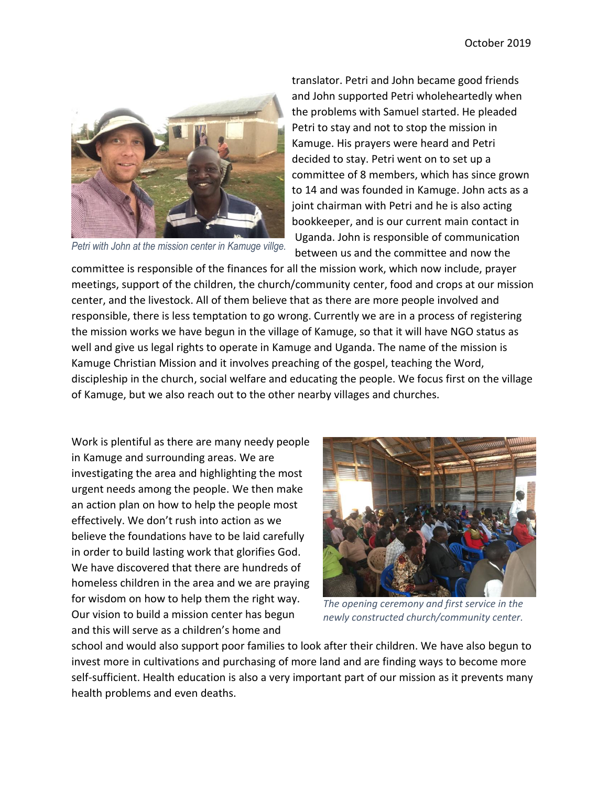

*Petri with John at the mission center in Kamuge villge.*

translator. Petri and John became good friends and John supported Petri wholeheartedly when the problems with Samuel started. He pleaded Petri to stay and not to stop the mission in Kamuge. His prayers were heard and Petri decided to stay. Petri went on to set up a committee of 8 members, which has since grown to 14 and was founded in Kamuge. John acts as a joint chairman with Petri and he is also acting bookkeeper, and is our current main contact in Uganda. John is responsible of communication between us and the committee and now the

committee is responsible of the finances for all the mission work, which now include, prayer meetings, support of the children, the church/community center, food and crops at our mission center, and the livestock. All of them believe that as there are more people involved and responsible, there is less temptation to go wrong. Currently we are in a process of registering the mission works we have begun in the village of Kamuge, so that it will have NGO status as well and give us legal rights to operate in Kamuge and Uganda. The name of the mission is Kamuge Christian Mission and it involves preaching of the gospel, teaching the Word, discipleship in the church, social welfare and educating the people. We focus first on the village of Kamuge, but we also reach out to the other nearby villages and churches.

Work is plentiful as there are many needy people in Kamuge and surrounding areas. We are investigating the area and highlighting the most urgent needs among the people. We then make an action plan on how to help the people most effectively. We don't rush into action as we believe the foundations have to be laid carefully in order to build lasting work that glorifies God. We have discovered that there are hundreds of homeless children in the area and we are praying for wisdom on how to help them the right way. Our vision to build a mission center has begun and this will serve as a children's home and



*The opening ceremony and first service in the newly constructed church/community center.*

school and would also support poor families to look after their children. We have also begun to invest more in cultivations and purchasing of more land and are finding ways to become more self-sufficient. Health education is also a very important part of our mission as it prevents many health problems and even deaths.